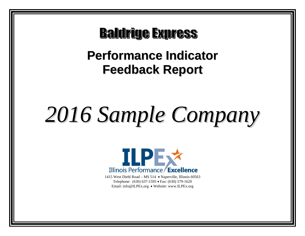**Baldrige Express** 

# **Performance Indicator Feedback Report**

# *2016 Sample Company*



1415 West Diehl Road – MS 514 • Naperville, Illinois 60563 Telephone: (630) 637-1595 • Fax: (630) 579-1620 Email: info@ILPEx.org • Website: www.ILPEx.org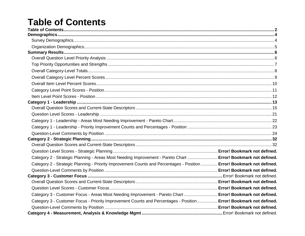# **Table of Contents**

| Category 2 - Strategic Planning - Areas Most Needing Improvement - Pareto Chart  Error! Bookmark not defined.          |  |
|------------------------------------------------------------------------------------------------------------------------|--|
| Category 2 - Strategic Planning - Priority Improvement Counts and Percentages - Position  Error! Bookmark not defined. |  |
|                                                                                                                        |  |
|                                                                                                                        |  |
|                                                                                                                        |  |
|                                                                                                                        |  |
| Category 3 - Customer Focus - Areas Most Needing Improvement - Pareto Chart  Error! Bookmark not defined.              |  |
| Category 3 - Customer Focus - Priority Improvement Counts and Percentages - Position Error! Bookmark not defined.      |  |
|                                                                                                                        |  |
|                                                                                                                        |  |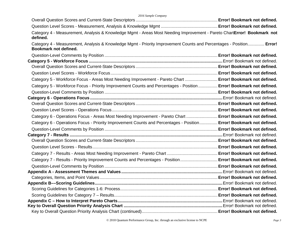| 2016 Sample Company                                                                                                                          |  |
|----------------------------------------------------------------------------------------------------------------------------------------------|--|
|                                                                                                                                              |  |
|                                                                                                                                              |  |
| Category 4 - Measurement, Analysis & Knowledge Mgmt - Areas Most Needing Improvement - Pareto ChartError! Bookmark not<br>defined.           |  |
| Category 4 - Measurement, Analysis & Knowledge Mgmt - Priority Improvement Counts and Percentages - Position Error!<br>Bookmark not defined. |  |
|                                                                                                                                              |  |
|                                                                                                                                              |  |
|                                                                                                                                              |  |
|                                                                                                                                              |  |
| Category 5 - Workforce Focus - Areas Most Needing Improvement - Pareto Chart  Error! Bookmark not defined.                                   |  |
| Category 5 - Workforce Focus - Priority Improvement Counts and Percentages - Position  Error! Bookmark not defined.                          |  |
|                                                                                                                                              |  |
|                                                                                                                                              |  |
|                                                                                                                                              |  |
|                                                                                                                                              |  |
| Category 6 - Operations Focus - Areas Most Needing Improvement - Pareto Chart  Error! Bookmark not defined.                                  |  |
| Category 6 - Operations Focus - Priority Improvement Counts and Percentages - Position Error! Bookmark not defined.                          |  |
|                                                                                                                                              |  |
|                                                                                                                                              |  |
|                                                                                                                                              |  |
|                                                                                                                                              |  |
|                                                                                                                                              |  |
| Category 7 - Results - Priority Improvement Counts and Percentages - Position Error! Bookmark not defined.                                   |  |
|                                                                                                                                              |  |
|                                                                                                                                              |  |
|                                                                                                                                              |  |
|                                                                                                                                              |  |
|                                                                                                                                              |  |
|                                                                                                                                              |  |
|                                                                                                                                              |  |
|                                                                                                                                              |  |
|                                                                                                                                              |  |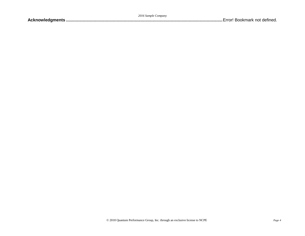|  | 2016 Sample Company |
|--|---------------------|
|  |                     |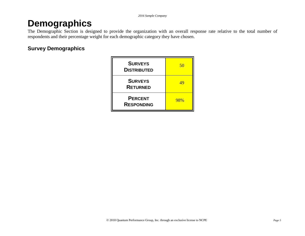# **Demographics**

The Demographic Section is designed to provide the organization with an overall response rate relative to the total number of respondents and their percentage weight for each demographic category they have chosen.

# **Survey Demographics**

| <b>SURVEYS</b><br><b>DISTRIBUTED</b> | 50  |
|--------------------------------------|-----|
| <b>SURVEYS</b><br><b>RETURNED</b>    | 49  |
| <b>PERCENT</b><br><b>RESPONDING</b>  | 98% |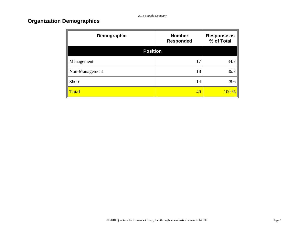# **Organization Demographics**

Æ

| Demographic     | <b>Number</b><br><b>Responded</b> | <b>Response as</b><br>% of Total |
|-----------------|-----------------------------------|----------------------------------|
| <b>Position</b> |                                   |                                  |
| Management      | 17                                | 34.7                             |
| Non-Management  | 18                                | 36.7                             |
| Shop            | 14                                | 28.6                             |
| <b>Total</b>    | 49                                | 100 %                            |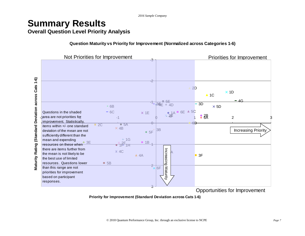# **Summary Results Overall Question Level Priority Analysis**

**Question Maturity vs Priority for Improvement (Normalized across Categories 1-6)**



**Priority for Improvement (Standard Deviation across Cats 1-6)**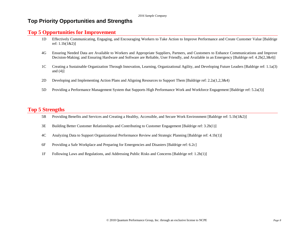# **Top Priority Opportunities and Strengths**

#### **Top 5 Opportunities for Improvement**

- 1D Effectively Communicating, Engaging, and Encouraging Workers to Take Action to Improve Performance and Create Customer Value [Baldrige ref: 1.1b(1&2)]
- 4G Ensuring Needed Data are Available to Workers and Appropriate Suppliers, Partners, and Customers to Enhance Communications and Improve Decision-Making; and Ensuring Hardware and Software are Reliable, User Friendly, and Available in an Emergency [Baldrige ref: 4.2b(2,3&4)]
- 1C Creating a Sustainable Organization Through Innovation, Learning, Organizational Agility, and Developing Future Leaders [Baldrige ref: 1.1a(3) and  $(4)$ ]
- 2D Developing and Implementing Action Plans and Aligning Resources to Support Them [Baldrige ref: 2.2a(1,2,3&4)
- 5D Providing a Performance Management System that Supports High Performance Work and Workforce Engagement [Baldrige ref: 5.2a(3)]

### **Top 5 Strengths**

- 5B Providing Benefits and Services and Creating a Healthy, Accessible, and Secure Work Environment [Baldrige ref: 5.1b(1&2)]
- 3E Building Better Customer Relationships and Contributing to Customer Engagement [Baldrige ref: 3.2b(1)]
- 4C Analyzing Data to Support Organizational Performance Review and Strategic Planning [Baldrige ref: 4.1b(1)]
- 6F Providing a Safe Workplace and Preparing for Emergencies and Disasters [Baldrige ref: 6.2c]
- 1F Following Laws and Regulations, and Addressing Public Risks and Concerns [Baldrige ref: 1.2b(1)]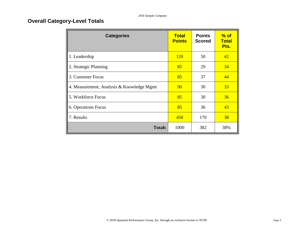# **Overall Category-Level Totals**

| <b>Categories</b>                         | <b>Total</b><br><b>Points</b> | <b>Points</b><br><b>Scored</b> | $%$ of<br><b>Total</b><br>Pts. |
|-------------------------------------------|-------------------------------|--------------------------------|--------------------------------|
| 1. Leadership                             | <b>120</b>                    | 50                             | 42                             |
| 2. Strategic Planning                     | 85                            | 29                             | 34                             |
| 3. Customer Focus                         | 85                            | 37                             | 44                             |
| 4. Measurement, Analysis & Knowledge Mgmt | 90                            | 30                             | 33                             |
| 5. Workforce Focus                        | 85                            | 30                             | 36                             |
| 6. Operations Focus                       | 85                            | 36                             | 43                             |
| 7. Results                                | 450                           | 170                            | 38                             |
| <b>Totals</b>                             | 1000                          | 382                            | 38%                            |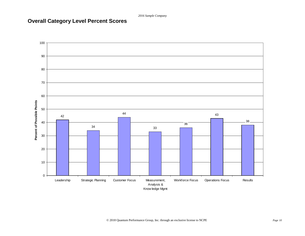# **Overall Category Level Percent Scores**

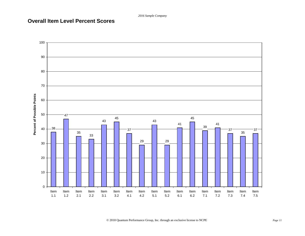# **Overall Item Level Percent Scores**

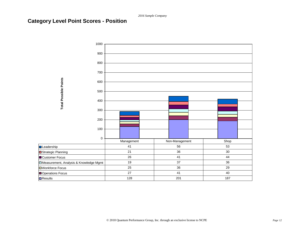# **Category Level Point Scores - Position**

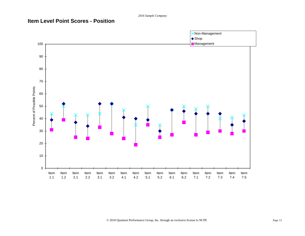# **Item Level Point Scores - Position**

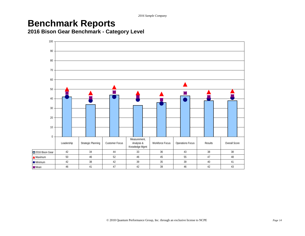# **Benchmark Reports**

**2016 Bison Gear Benchmark - Category Level**

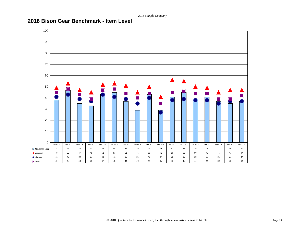# **2016 Bison Gear Benchmark - Item Level**

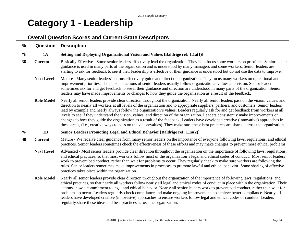# **Category 1 - Leadership**

# **Overall Question Scores and Current-State Descriptors**

| $\frac{9}{6}$ | Question          | <b>Description</b>                                                                                                                                                                                                                                                                                                                                                                                                                                                                                                                                                                                                                                                                                                                                                                                                                               |
|---------------|-------------------|--------------------------------------------------------------------------------------------------------------------------------------------------------------------------------------------------------------------------------------------------------------------------------------------------------------------------------------------------------------------------------------------------------------------------------------------------------------------------------------------------------------------------------------------------------------------------------------------------------------------------------------------------------------------------------------------------------------------------------------------------------------------------------------------------------------------------------------------------|
| $\%$          | <b>1A</b>         | Setting and Deploying Organizational Vision and Values [Baldrige ref: 1.1a(1)]                                                                                                                                                                                                                                                                                                                                                                                                                                                                                                                                                                                                                                                                                                                                                                   |
| 38            | <b>Current</b>    | Basically Effective - Some senior leaders effectively lead the organization. They help focus some workers on priorities. Senior leader<br>guidance is used in many parts of the organization and is understood by many managers and some workers. Senior leaders are<br>starting to ask for feedback to see if their leadership is effective or their guidance is understood but do not use the data to improve.                                                                                                                                                                                                                                                                                                                                                                                                                                 |
|               | <b>Next Level</b> | Mature - Many senior leaders' actions effectively guide and direct the organization. They focus many workers on operational and<br>improvement priorities. The personal actions of senior leaders usually follow organizational values and vision. Senior leaders<br>sometimes ask for and get feedback to see if their guidance and direction are understood in many parts of the organization. Senior<br>leaders may have made improvements or changes to how they guide the organization as a result of the feedback.                                                                                                                                                                                                                                                                                                                         |
|               | <b>Role Model</b> | Nearly all senior leaders provide clear direction throughout the organization. Nearly all senior leaders pass on the vision, values, and<br>direction to nearly all workers at all levels of the organization and to appropriate suppliers, partners, and customers. Senior leaders<br>lead by example and nearly always follow the organization's values. Leaders regularly ask for and get feedback from workers at all<br>levels to see if they understand the vision, values, and direction of the organization. Leaders consistently make improvements or<br>changes to how they guide the organization as a result of the feedback. Leaders have developed creative (innovative) approaches in<br>these areas, (i.e., creative ways to pass on the vision/values). They make sure these best practices are shared across the organization. |
| $\%$          | 1B                | Senior Leaders Promoting Legal and Ethical Behavior [Baldrige ref: 1.1a(2)]                                                                                                                                                                                                                                                                                                                                                                                                                                                                                                                                                                                                                                                                                                                                                                      |
| 48            | <b>Current</b>    | Mature - We receive clear guidance from many senior leaders on the importance of everyone following laws, regulations, and ethical<br>practices. Senior leaders sometimes check the effectiveness of these efforts and may make changes to prevent more ethical problems.                                                                                                                                                                                                                                                                                                                                                                                                                                                                                                                                                                        |
|               | <b>Next Level</b> | Advanced - Most senior leaders provide clear direction throughout the organization on the importance of following laws, regulations,<br>and ethical practices, so that most workers follow most of the organization's legal and ethical codes of conduct. Most senior leaders<br>work to prevent bad conduct, rather than wait for problems to occur. They regularly check to make sure workers are following the<br>rules. Senior leaders sometimes make improvements in processes to promote lawful and ethical behavior. Some sharing of effective<br>practices takes place within the organization.                                                                                                                                                                                                                                          |
|               | <b>Role Model</b> | Nearly all senior leaders provide clear direction throughout the organization of the importance of following laws, regulations, and<br>ethical practices, so that nearly all workers follow nearly all legal and ethical codes of conduct in place within the organization. Their<br>actions show a commitment to legal and ethical behavior. Nearly all senior leaders work to prevent bad conduct, rather than wait for<br>problems to occur. Leaders regularly check compliance and make ongoing improvements to achieve better compliance. Nearly all<br>leaders have developed creative (innovative) approaches to ensure workers follow legal and ethical codes of conduct. Leaders<br>regularly share these ideas and best practices across the organization.                                                                             |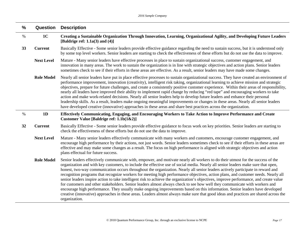| $\frac{0}{0}$ | Question          | <b>Description</b>                                                                                                                                                                                                                                                                                                                                                                                                                                                                                                                                                                                                                                                                                                                                                                                                                                                                                                                                                                                                                                                                                          |
|---------------|-------------------|-------------------------------------------------------------------------------------------------------------------------------------------------------------------------------------------------------------------------------------------------------------------------------------------------------------------------------------------------------------------------------------------------------------------------------------------------------------------------------------------------------------------------------------------------------------------------------------------------------------------------------------------------------------------------------------------------------------------------------------------------------------------------------------------------------------------------------------------------------------------------------------------------------------------------------------------------------------------------------------------------------------------------------------------------------------------------------------------------------------|
| $\%$          | 1 <sub>C</sub>    | Creating a Sustainable Organization Through Innovation, Learning, Organizational Agility, and Developing Future Leaders<br>[Baldrige ref: $1.1a(3)$ and $(4)$ ]                                                                                                                                                                                                                                                                                                                                                                                                                                                                                                                                                                                                                                                                                                                                                                                                                                                                                                                                             |
| 33            | <b>Current</b>    | Basically Effective - Some senior leaders provide effective guidance regarding the need to sustain success, but it is understood only<br>by some top level workers. Senior leaders are starting to check the effectiveness of these efforts but do not use the data to improve.                                                                                                                                                                                                                                                                                                                                                                                                                                                                                                                                                                                                                                                                                                                                                                                                                             |
|               | <b>Next Level</b> | Mature - Many senior leaders have effective processes in place to sustain organizational success, customer engagement, and<br>innovation in many areas. The work to sustain the organization is in line with strategic objectives and action plans. Senior leaders<br>sometimes check to see if their efforts in these areas are effective. As a result, senior leaders may have made some changes.                                                                                                                                                                                                                                                                                                                                                                                                                                                                                                                                                                                                                                                                                                         |
|               | <b>Role Model</b> | Nearly all senior leaders have put in place effective processes to sustain organizational success. They have created an environment of<br>performance improvement, innovation (creativity), intelligent risk taking, organizational learning to achieve mission and strategic<br>objectives, prepare for future challenges, and create a consistently positive customer experience. Within their areas of responsibility,<br>nearly all leaders have improved their ability to implement rapid change by reducing "red tape" and encouraging workers to take<br>action and make work-related decisions. Nearly all senior leaders help to develop future leaders and enhance their personal<br>leadership skills. As a result, leaders make ongoing meaningful improvements or changes in these areas. Nearly all senior leaders<br>have developed creative (innovative) approaches in these areas and share best practices across the organization.                                                                                                                                                        |
| $\%$          | 1D                | Effectively Communicating, Engaging, and Encouraging Workers to Take Action to Improve Performance and Create<br>Customer Value [Baldrige ref: 1.1b(1&2)]                                                                                                                                                                                                                                                                                                                                                                                                                                                                                                                                                                                                                                                                                                                                                                                                                                                                                                                                                   |
| 32            | <b>Current</b>    | Basically Effective - Some senior leaders provide effective guidance to focus work on key priorities. Senior leaders are starting to<br>check the effectiveness of these efforts but do not use the data to improve.                                                                                                                                                                                                                                                                                                                                                                                                                                                                                                                                                                                                                                                                                                                                                                                                                                                                                        |
|               | <b>Next Level</b> | Mature - Many senior leaders effectively communicate with many workers and customers, encourage customer engagement, and<br>encourage high performance by their actions, not just words. Senior leaders sometimes check to see if their efforts in these areas are<br>effective and may make some changes as a result. The focus on high performance is aligned with strategic objectives and action<br>plans effectual for future success.                                                                                                                                                                                                                                                                                                                                                                                                                                                                                                                                                                                                                                                                 |
|               | <b>Role Model</b> | Senior leaders effectively communicate with, empower, and motivate nearly all workers to do their utmost for the success of the<br>organization and with key customers, to include the effective use of social media. Nearly all senior leaders make sure that open,<br>honest, two-way communication occurs throughout the organization. Nearly all senior leaders actively participate in reward and<br>recognition programs that recognize workers for meeting high performance objectives, action plans, and customer needs. Nearly all<br>senior leaders inspire action to take intelligent risk to achieve the organization's objectives, improve performance, and create value<br>for customers and other stakeholders. Senior leaders almost always check to see how well they communicate with workers and<br>encourage high performance. They usually make ongoing improvements based on this information. Senior leaders have developed<br>creative (innovative) approaches in these areas. Leaders almost always make sure that good ideas and practices are shared across the<br>organization. |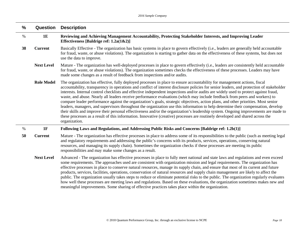| $\frac{0}{0}$ | Question          | <b>Description</b>                                                                                                                                                                                                                                                                                                                                                                                                                                                                                                                                                                                                                                                                                                                                                                                                                                                                                                                                                                                                                                                                                                 |
|---------------|-------------------|--------------------------------------------------------------------------------------------------------------------------------------------------------------------------------------------------------------------------------------------------------------------------------------------------------------------------------------------------------------------------------------------------------------------------------------------------------------------------------------------------------------------------------------------------------------------------------------------------------------------------------------------------------------------------------------------------------------------------------------------------------------------------------------------------------------------------------------------------------------------------------------------------------------------------------------------------------------------------------------------------------------------------------------------------------------------------------------------------------------------|
| $\%$          | 1E                | Reviewing and Achieving Management Accountability, Protecting Stakeholder Interests, and Improving Leader<br>Effectiveness [Baldrige ref: $1.2a(1&2)$ ]                                                                                                                                                                                                                                                                                                                                                                                                                                                                                                                                                                                                                                                                                                                                                                                                                                                                                                                                                            |
| 38            | <b>Current</b>    | Basically Effective - The organization has basic systems in place to govern effectively (i.e., leaders are generally held accountable<br>for fraud, waste, or abuse violations). The organization is starting to gather data on the effectiveness of these systems, but does not<br>use the data to improve.                                                                                                                                                                                                                                                                                                                                                                                                                                                                                                                                                                                                                                                                                                                                                                                                       |
|               | <b>Next Level</b> | Mature - The organization has well-deployed processes in place to govern effectively (i.e., leaders are consistently held accountable<br>for fraud, waste, or abuse violations). The organization sometimes checks the effectiveness of these processes. Leaders may have<br>made some changes as a result of feedback from inspections and/or audits.                                                                                                                                                                                                                                                                                                                                                                                                                                                                                                                                                                                                                                                                                                                                                             |
|               | <b>Role Model</b> | The organization has effective, fully deployed processes in place to ensure accountability for management actions, fiscal<br>accountability, transparency in operations and conflict of interest disclosure policies for senior leaders, and protection of stakeholder<br>interests. Internal control checklists and effective independent inspections and/or audits are widely used to protect against fraud,<br>waste, and abuse. Nearly all leaders receive performance evaluations (which may include feedback from peers and workers) to<br>compare leader performance against the organization's goals, strategic objectives, action plans, and other priorities. Most senior<br>leaders, managers, and supervisors throughout the organization use this information to help determine their compensation, develop<br>their skills and improve their personal effectiveness and/or the organization's leadership system. Ongoing improvements are made to<br>these processes as a result of this information. Innovative (creative) processes are routinely developed and shared across the<br>organization. |
| $\%$          | 1F                | Following Laws and Regulations, and Addressing Public Risks and Concerns [Baldrige ref: 1.2b(1)]                                                                                                                                                                                                                                                                                                                                                                                                                                                                                                                                                                                                                                                                                                                                                                                                                                                                                                                                                                                                                   |
| 50            | <b>Current</b>    | Mature - The organization has effective processes in place to address some of its responsibilities to the public (such as meeting legal<br>and regulatory requirements and addressing the public's concerns with its products, services, operations, conserving natural<br>resources, and managing its supply chain). Sometimes the organization checks if these processes are meeting its public<br>responsibilities and may make some changes as a result.                                                                                                                                                                                                                                                                                                                                                                                                                                                                                                                                                                                                                                                       |
|               | <b>Next Level</b> | Advanced - The organization has effective processes in place to fully meet national and state laws and regulations and even exceed<br>some requirements. The approaches used are consistent with organization mission and legal requirements. The organization has<br>effective processes in place to conserve natural resources, manage its supply chain, and ensure that most of its current and future<br>products, services, facilities, operations, conservation of natural resources and supply chain management are likely to affect the<br>public. The organization usually takes steps to reduce or eliminate potential risks to the public. The organization regularly evaluates<br>how well these processes are meeting laws and regulations. Based on these evaluations, the organization sometimes makes new and<br>meaningful improvements. Some sharing of effective practices takes place within the organization.                                                                                                                                                                                 |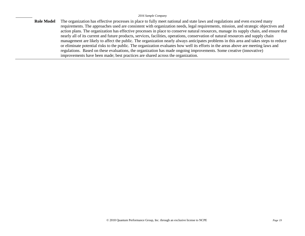**Role Model** The organization has effective processes in place to fully meet national and state laws and regulations and even exceed many requirements. The approaches used are consistent with organization needs, legal requirements, mission, and strategic objectives and action plans. The organization has effective processes in place to conserve natural resources, manage its supply chain, and ensure that nearly all of its current and future products, services, facilities, operations, conservation of natural resources and supply chain management are likely to affect the public. The organization nearly always anticipates problems in this area and takes steps to reduce or eliminate potential risks to the public. The organization evaluates how well its efforts in the areas above are meeting laws and regulations. Based on these evaluations, the organization has made ongoing improvements. Some creative (innovative) improvements have been made; best practices are shared across the organization.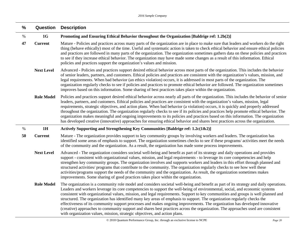| $\frac{0}{0}$ | Question          | <b>Description</b>                                                                                                                                                                                                                                                                                                                                                                                                                                                                                                                                                                                                                                                                                                                                                                                                                                                                     |
|---------------|-------------------|----------------------------------------------------------------------------------------------------------------------------------------------------------------------------------------------------------------------------------------------------------------------------------------------------------------------------------------------------------------------------------------------------------------------------------------------------------------------------------------------------------------------------------------------------------------------------------------------------------------------------------------------------------------------------------------------------------------------------------------------------------------------------------------------------------------------------------------------------------------------------------------|
| $\%$          | 1G                | Promoting and Ensuring Ethical Behavior throughout the Organization [Baldrige ref: 1.2b(2)]                                                                                                                                                                                                                                                                                                                                                                                                                                                                                                                                                                                                                                                                                                                                                                                            |
| 47            | <b>Current</b>    | Mature - Policies and practices across many parts of the organization are in place to make sure that leaders and workers do the right<br>thing (behave ethically) most of the time. Useful and systematic action is taken to check ethical behavior and ensure ethical policies<br>and practices are followed in many parts of the organization. The organization sometimes gathers data on these policies and practices<br>to see if they increase ethical behavior. The organization may have made some changes as a result of this information. Ethical<br>policies and practices support the organization's values and mission.                                                                                                                                                                                                                                                    |
|               | <b>Next Level</b> | Advanced - Policies and practices support desired ethical behavior across most parts of the organization. This includes the behavior<br>of senior leaders, partners, and customers. Ethical policies and practices are consistent with the organization's values, mission, and<br>legal requirements. When bad behavior (an ethics violation) occurs, it is addressed in most parts of the organization. The<br>organization regularly checks to see if policies and practices to promote ethical behavior are followed. The organization sometimes<br>improves based on this information. Some sharing of best practices takes place within the organization.                                                                                                                                                                                                                         |
|               | <b>Role Model</b> | Policies and practices support desired ethical behavior across nearly all parts of the organization. This includes the behavior of senior<br>leaders, partners, and customers. Ethical policies and practices are consistent with the organization's values, mission, legal<br>requirements, strategic objectives, and action plans. When bad behavior (a violation) occurs, it is quickly and properly addressed<br>throughout the organization. The organization regularly checks to see if its policies and practices help promote ethical behavior. The<br>organization makes meaningful and ongoing improvements to its policies and practices based on this information. The organization<br>has developed creative (innovative) approaches for ensuring ethical behavior and shares best practices across the organization.                                                     |
| $\%$          | 1H                | Actively Supporting and Strengthening Key Communities [Baldrige ref: 1.2c(1&2)]                                                                                                                                                                                                                                                                                                                                                                                                                                                                                                                                                                                                                                                                                                                                                                                                        |
| 50            | <b>Current</b>    | Mature - The organization provides support to key community groups by involving workers and leaders. The organization has<br>identified some areas of emphasis to support. The organization sometimes checks to see if these programs/activities meet the needs<br>of the community and the organization. As a result, the organization has made some process improvements.                                                                                                                                                                                                                                                                                                                                                                                                                                                                                                            |
|               | <b>Next Level</b> | Advanced - The organization considers societal well-being and benefit as part of its strategy and daily operations and provides<br>support - consistent with organizational values, mission, and legal requirements - to leverage its core competencies and help<br>strengthen key community groups. The organization involves and supports workers and leaders in this effort through planned and<br>structured activities/ programs that contribute to the community. The organization regularly checks to see how well these<br>activities/programs support the needs of the community and the organization. As result, the organization sometimes makes<br>improvements. Some sharing of good practices takes place within the organization.                                                                                                                                       |
|               | <b>Role Model</b> | The organization is a community role model and considers societal well-being and benefit as part of its strategy and daily operations.<br>Leaders and workers leverage its core competencies to support the well-being of environmental, social, and economic systems<br>consistent with organizational values, mission, and legal requirements. Support to key communities and groups is well planned and<br>structured. The organization has identified many key areas of emphasis to support. The organization regularly checks the<br>effectiveness of its community support processes and makes ongoing improvements. The organization has developed innovative<br>(creative) approaches to community support and shares best practices across the organization. The approaches used are consistent<br>with organization values, mission, strategic objectives, and action plans. |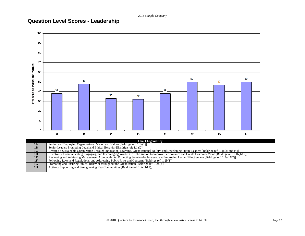# **Question Level Scores - Leadership**



|                | <b>Chart Legend Key</b>                                                                                                                                 |
|----------------|---------------------------------------------------------------------------------------------------------------------------------------------------------|
|                | Setting and Deploying Organizational Vision and Values [Baldrige ref: 1.1a(1)]                                                                          |
| 1B             | Senior Leaders Promoting Legal and Ethical Behavior [Baldrige ref: 1.1a(2)]                                                                             |
| 1 <sup>C</sup> | Creating a Sustainable Organization Through Innovation, Learning, Organizational Agility, and Developing Future Leaders [Baldrige ref: 1.1a(3) and (4)] |
| 1 <sub>D</sub> | Effectively Communicating, Engaging, and Encouraging Workers to Take Action to Improve Performance and Create Customer Value [Baldrige ref: 1.1b(1&2)]  |
| 1E             | Reviewing and Achieving Management Accountability, Protecting Stakeholder Interests, and Improving Leader Effectiveness [Baldrige ref: 1.2a(1&2)]       |
| 1F             | Following Laws and Regulations, and Addressing Public Risks and Concerns [Baldrige ref: 1.2b(1)]                                                        |
| 1G             | Promoting and Ensuring Ethical Behavior throughout the Organization [Baldrige ref: $1.2b(2)$ ]                                                          |
| 1H             | Actively Supporting and Strengthening Key Communities [Baldrige ref: $1.2c(1&2)$ ]                                                                      |
|                |                                                                                                                                                         |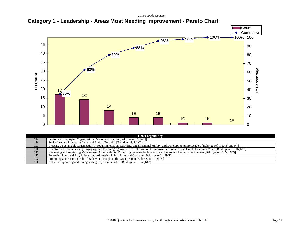**Category 1 - Leadership - Areas Most Needing Improvement - Pareto Chart**



| <b>Chart Legend Key</b> |                                                                                                                                                         |  |  |  |  |
|-------------------------|---------------------------------------------------------------------------------------------------------------------------------------------------------|--|--|--|--|
|                         | Setting and Deploying Organizational Vision and Values [Baldrige ref: 1.1a(1)]                                                                          |  |  |  |  |
| 1B                      | Senior Leaders Promoting Legal and Ethical Behavior [Baldrige ref: 1.1a(2)]                                                                             |  |  |  |  |
| 1 <sub>C</sub>          | Creating a Sustainable Organization Through Innovation, Learning, Organizational Agility, and Developing Future Leaders [Baldrige ref: 1.1a(3) and (4)] |  |  |  |  |
| 1D                      | Effectively Communicating, Engaging, and Encouraging Workers to Take Action to Improve Performance and Create Customer Value [Baldrige ref: 1.1b(1&2)]  |  |  |  |  |
| 1E                      | Reviewing and Achieving Management Accountability, Protecting Stakeholder Interests, and Improving Leader Effectiveness [Baldrige ref: 1.2a(1&2)]       |  |  |  |  |
| 1F                      | Following Laws and Regulations, and Addressing Public Risks and Concerns [Baldrige ref: 1.2b(1)]                                                        |  |  |  |  |
| 1G                      | Promoting and Ensuring Ethical Behavior throughout the Organization [Baldrige ref: 1.2b(2)]                                                             |  |  |  |  |
| 1H                      | Actively Supporting and Strengthening Key Communities [Baldrige ref: $1.2c(1&&2)$ ]                                                                     |  |  |  |  |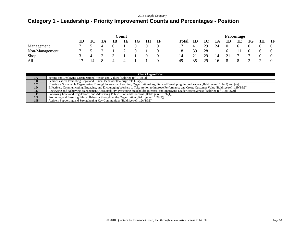# **Category 1 - Leadership - Priority Improvement Counts and Percentages - Position**

|                | Count         |    |    |                |                |                |          | Percentage |              |                |    |    |                |          |                |                |    |
|----------------|---------------|----|----|----------------|----------------|----------------|----------|------------|--------------|----------------|----|----|----------------|----------|----------------|----------------|----|
|                | 1D            | 1C | 1A | 1B             | 1E             | 1G             | 1H       | 1F         | <b>Total</b> | 1 <sub>D</sub> | 1C | 1A | <b>1B</b>      | 1E       | 1G             | 1H             | 1F |
| Management     | 7             |    | 4  | 0              |                | $\theta$       | 0        | 0          |              | 41             | 29 | 24 | $\overline{0}$ | $\sigma$ |                |                |    |
| Non-Management | 7             |    |    |                |                | $\overline{0}$ |          | $\Omega$   | 18           | 39             | 28 |    | 6              |          | $\overline{0}$ | $\mathfrak{h}$ |    |
| Shop           | $\mathcal{A}$ | 4  |    | $\rightarrow$  |                |                | $\Omega$ | 0          | 14           | 21             | 29 | 14 | 21             |          |                |                |    |
| All            |               | 14 | -8 | $\overline{4}$ | $\overline{4}$ |                |          |            | 49           | 35             | 29 | 16 | -8             | 8        |                |                |    |

|                | <b>Chart Legend Key</b>                                                                                                                                 |
|----------------|---------------------------------------------------------------------------------------------------------------------------------------------------------|
| 1A             | Setting and Deploying Organizational Vision and Values [Baldrige ref: 1.1a(1)]                                                                          |
| 1B             | Senior Leaders Promoting Legal and Ethical Behavior [Baldrige ref: 1.1a(2)]                                                                             |
| 1 <sup>C</sup> | Creating a Sustainable Organization Through Innovation, Learning, Organizational Agility, and Developing Future Leaders [Baldrige ref: 1.1a(3) and (4)] |
| 1 <sub>D</sub> | Effectively Communicating, Engaging, and Encouraging Workers to Take Action to Improve Performance and Create Customer Value [Baldrige ref: 1.1b(1&2)]  |
| 1E             | Reviewing and Achieving Management Accountability, Protecting Stakeholder Interests, and Improving Leader Effectiveness [Baldrige ref: 1.2a(1&2)]       |
|                | Following Laws and Regulations, and Addressing Public Risks and Concerns [Baldrige ref: 1.2b(1)]                                                        |
| 1G             | Promoting and Ensuring Ethical Behavior throughout the Organization [Baldrige ref: 1.2b(2)]                                                             |
| 1H             | Actively Supporting and Strengthening Key Communities [Baldrige ref: $1.2c(1\&2)$ ]                                                                     |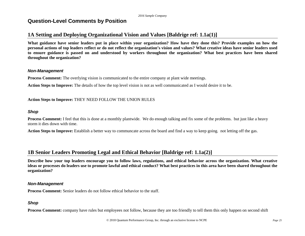# **Question-Level Comments by Position**

# **1A Setting and Deploying Organizational Vision and Values [Baldrige ref: 1.1a(1)]**

**What guidance have senior leaders put in place within your organization? How have they done this? Provide examples on how the personal actions of top leaders reflect or do not reflect the organization's vision and values? What creative ideas have senior leaders used to ensure guidance is passed on and understood by workers throughout the organization? What best practices have been shared throughout the organization?**

#### *Non-Management*

**Process Comment:** The overlying vision is communicated to the entire company at plant wide meetings.

**Action Steps to Improve:** The details of how the top level vision is not as well communicated as I would desire it to be.

#### **Action Steps to Improve:** THEY NEED FOLLOW THE UNION RULES

#### *Shop*

**Process Comment:** I feel that this is done at a monthly plantwide. We do enough talking and fix some of the problems. but just like a heavy storm it dies down with time.

**Action Steps to Improve:** Establish a better way to communcate across the board and find a way to keep going. not letting off the gas.

### **1B Senior Leaders Promoting Legal and Ethical Behavior [Baldrige ref: 1.1a(2)]**

**Describe how your top leaders encourage you to follow laws, regulations, and ethical behavior across the organization. What creative ideas or processes do leaders use to promote lawful and ethical conduct? What best practices in this area have been shared throughout the organization?**

#### *Non-Management*

**Process Comment:** Senior leaders do not follow ethical behavior to the staff.

#### *Shop*

**Process Comment:** company have rules but employees not follow, because they are too friendly to tell them this only happen on second shift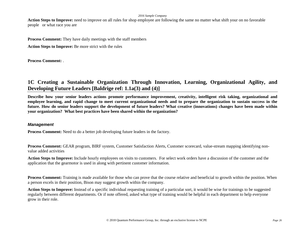Action Steps to Improve: need to improve on all rules for shop employee are following the same no matter what shift your on no favorable people or what race you are

**Process Comment:** They have daily meetings with the staff members

**Action Steps to Improve:** Be more strict with the rules

**Process Comment:** .

# **1C Creating a Sustainable Organization Through Innovation, Learning, Organizational Agility, and Developing Future Leaders [Baldrige ref: 1.1a(3) and (4)]**

**Describe how your senior leaders actions promote performance improvement, creativity, intelligent risk taking, organizational and employee learning, and rapid change to meet current organizational needs and to prepare the organization to sustain success in the future. How do senior leaders support the development of future leaders? What creative (innovations) changes have been made within your organization? What best practices have been shared within the organization?**

#### *Management*

**Process Comment:** Need to do a better job developing future leaders in the factory.

**Process Comment:** GEAR program, BIRF system, Customer Satisfaction Alerts, Customer scorecard, value-stream mapping identifying nonvalue added activities

**Action Steps to Improve:** Include hourly employees on visits to customers. For select work orders have a discussion of the customer and the application that the gearmotor is used in along with pertinent customer information.

**Process Comment:** Training is made available for those who can prove that the course relative and beneficial to growth within the position. When a person excels in their position, Bison may suggest growth within the company.

**Action Steps to Improve:** Instead of a specific individual requesting training of a particular sort, it would be wise for trainings to be suggested regularly between different departments. Or if note offered, asked what type of training would be helpful in each department to help everyone grow in their role.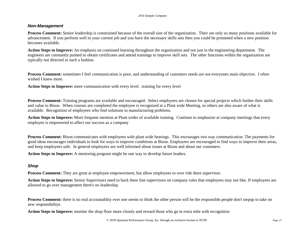#### *Non-Management*

**Process Comment:** Senior leadership is constrained because of the overall size of the organization. Their are only so many positions available for advancement. If you perform well in your current job and you have the necessary skills sets then you could be promoted when a new position becomes available.

**Action Steps to Improve:** An emphasis on continued learning throughout the organization and not just in the engineering department. The engineers are constantly pushed to obtain certificates and attend trainings to improve skill sets. The other functions within the organization are typically not directed in such a fashion.

**Process Comment:** sometimes I feel communication is poor, and understanding of customers needs are not everyones main objective. I often wished I knew more.

**Action Steps to Improve:** more communication with every level. training for every level

**Process Comment:** Training programs are available and encouraged. Select employees are chosen for special projects which further their skills and value to Bison. When courses are completed the employee is recognized at a Plant wide Meeting, so others are also aware of what is available. Recognition of employees who find solutions to manufacturing problems.

**Action Steps to Improve:** More frequent mention at Plant wides of available training. Continue to emphasize at company meetings that every employee is empowered to affect our success as a company

**Process Comment:** Bison communicates with employees with plant wide hearings. This encourages two way communication. The payments for good ideas encourages individuals to look for ways to improve conditions at Bison. Employees are encouraged to find ways to improve their areas, and keep employees safe. In general employees are well informed about issues at Bison and about our customers.

**Action Steps to Improve:** A mentoring program might be one way to develop future leaders.

#### *Shop*

**Process Comment:** They are great at employee empowerment, but allow employees to over ride there supervisor.

**Action Steps to Improve:** Senior Supervisors need to back there line supervisors on company rules that employees may not like. If employees are allowed to go over management there's no leadership.

**Process Comment:** there is no real accountablity ever one seems to think the other person will be the responsible.people don't stepup to take on new responsibilitys

**Action Steps to Improve:** moniter the shop floor more closely and reward those who go te extra mile with recognition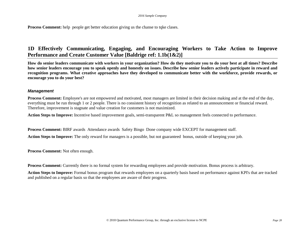**Process Comment:** help people get better education giving us the chanse to tqke clases.

# **1D Effectively Communicating, Engaging, and Encouraging Workers to Take Action to Improve Performance and Create Customer Value [Baldrige ref: 1.1b(1&2)]**

**How do senior leaders communicate with workers in your organization? How do they motivate you to do your best at all times? Describe how senior leaders encourage you to speak openly and honestly on issues. Describe how senior leaders actively participate in reward and recognition programs. What creative approaches have they developed to communicate better with the workforce, provide rewards, or encourage you to do your best?**

#### *Management*

**Process Comment:** Employee's are not empowered and motivated, most managers are limited in their decision making and at the end of the day, everything must be run through 1 or 2 people. There is no consistent history of recognition as related to an announcement or financial reward. Therefore, improvement is stagnate and value creation for customers is not maximized.

**Action Steps to Improve:** Incentive based improvement goals, semi-transparent P&L so management feels connected to performance.

**Process Comment:** BIRF awards Attendance awards Safety Bingo Done company wide EXCEPT for management staff.

**Action Steps to Improve:** The only reward for managers is a possible, but not guaranteed bonus, outside of keeping your job.

**Process Comment:** Not often enough.

**Process Comment:** Currently there is no formal system for rewarding employees and provide motivation. Bonus process is arbitrary.

**Action Steps to Improve:** Formal bonus program that rewards employees on a quarterly basis based on performance against KPI's that are tracked and published on a regular basis so that the employees are aware of their progress.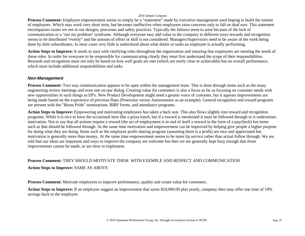**Process Comment:** Employee empowerment seems to simply be a "statement" made by executive management used hoping to build the esteem of employees. Which may work very short term, but becomes ineffective when employees raise concerns only to fall on deaf ears. This statement encompasses issues we see in our designs, processes and safety practices. Typically the failures seem to arise because of the lack of communication or a "not my problem" syndrome. Although everyone may add value to the company in different ways rewards and recognition seems to be distributed "evenly" and the amount of effort or skill is not considered. Managers/Supervisors need to be aware of the work being done by their subordinates. In most cases very little is understood about what duties or tasks an employee is actually performing.

**Action Steps to Improve:** It needs to start with clarifying roles throughout the organization and ensuring that employees are meeting the needs of those roles. In order for everyone to be responsible for communicating clearly they must first understand the scope of their responsibilities. Rewards and recognition must not only be based on how well goals are met (which are rarely clear or achievable) but on overall performance, which must include additional responsibilities and tasks.

#### *Non-Management*

**Process Comment:** Two way communication appears to be open within the management team. This is done through items such as the many engineering review meetings and even one on one dialog. Creating value for customers is also a focus as far as focusing on customer needs with new opportunities in such things as EP's. New Product Development might need a greater voice of customer, but it appears improvements are being made based on the experience of previous flops (Powerstar versus Autonomotor as an example). General recognition and reward programs are present with the "Bison Pride" nominations, BIRF forms, and attendance programs.

**Action Steps to Improve:** Empowering and motivating employees has taken a back seat. This also flows slightly into reward and recognition programs. While it is nice to have the occasional item like a pizza lunch, but if a reward is mentioned it must be followed through or it undermines motivation. Not to say that all actions require a reward (the act of employment is in and of itself a reward in the form of a paycheck) but items such as that should be followed through. At the same time motivation and empowerment can be improved by helping give people a higher purpose for doing what they are doing. Items such as the employee profit sharing program (assuming there is a profit) are nice and appreciated but motivation is generally more than money. At the same time empowerment seems to be more lip service rather than actual follow through. We are told that our ideas are important and ways to improve the company are welcome but then we are generally kept busy enough that those improvements cannot be made, or are slow to implement.

# **Process Comment:** THEY SHOULD MOTIVATE THEM WITH EXEMPLE AND RESPECT AND COMMUNICATION

**Action Steps to Improve:** SAME AS ABOVE

**Process Comment:** Motivate employees to improve performance, quality and create value for customers.

**Action Steps to Improve:** If an employee suggest an improvement that saves \$10,000.00 plus yearly, company then may offer one time of 10% savings back to the employee.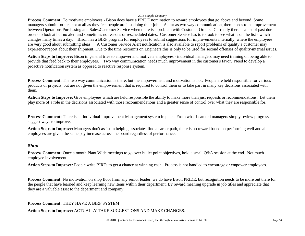**Process Comment:** To motivate employees - Bison does have a PRIDE nomination to reward employees that go above and beyond. Some managers submit - others not at all as they feel people are just doing their job. As far as two way communication, there needs to be improvement between Operations,Purchasing and Sales\Customer Service when there is a problem with Customer Orders. Currently there is a list of past due orders to look at but no alert and sometimes no reasons or rescheduled dates. Customer Service has to to look to see what is on the list - which changes many times a day. Bison has a BIRF program for employees to submit suggestions for improvements internally, where the employees are very good about submitting ideas. A Customer Service Alert notification is also available to report problems of quality a customer may experience\report about their shipment. Due to the time restraints on Engineers, this is only to be used for second offenses of quality\internal issues.

**Action Steps to Improve:** Bison in general tries to empower and motivate employees - individual managers may need training on being able to provide that feed back to their employees. Two way communication needs much improvement in the customer's favor. Need to develop a proactive notification system as opposed to reactive response system.

**Process Comment:** The two way communication is there, but the empowerment and motivation is not. People are held responsible for various products or projects, but are not given the empowerment that is required to control them or to take part in many key decisions associated with them.

**Action Steps to Improve:** Give employees which are held responsible the ability to make more than just requests or recommendations. Let them play more of a role in the decisions associated with those recommendations and a greater sense of control over what they are responsible for.

**Process Comment:** There is an Individual Improvement Management system in place. From what I can tell managers simply review progress, suggest ways to improve.

**Action Steps to Improve:** Managers don't assist in helping associates find a career path, there is no reward based on performing well and all employees are given the same pay increase across the board regardless of performance.

#### *Shop*

**Process Comment:** Once a month Plant Wide meetings to go over bullet point objectives, hold a small Q&A session at the end. Not much employee involvement.

**Action Steps to Improve:** People write BIRFs to get a chance at winning cash. Process is not handled to encourage or empower employees.

**Process Comment:** No motivation on shop floor from any senior leader. we do have Bison PRIDE, but recognition needs to be more out there for the people that have learned and keep learning new items within their department. By reward meaning upgrade in job titles and appreciate that they are a valuable asset to the department and company.

**Process Comment:** THEY HAVE A BIRF SYSTEM

#### **Action Steps to Improve:** ACTUALLY TAKE SUGGESTIONS AND MAKE CHANGES.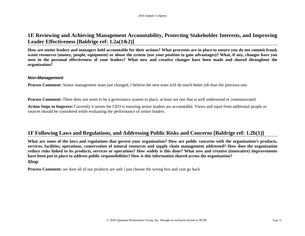### **1E Reviewing and Achieving Management Accountability, Protecting Stakeholder Interests, and Improving Leader Effectiveness [Baldrige ref: 1.2a(1&2)]**

**How are senior leaders and managers held accountable for their actions? What processes are in place to ensure you do not commit fraud, waste resources (money, people, equipment) or abuse the system (use your position to gain advantages)? What, if any, changes have you seen in the personal effectiveness of your leaders? What new and creative changes have been made and shared throughout the organization?**

#### *Non-Management*

**Process Comment:** Senior management team just changed, I believe the new team will do much better job than the previous one.

**Process Comment:** There does not seem to be a governance system in place, at least not one that is well understood or communicated.

**Action Steps to Improve:** Currently it seems the CEO is ensuring senior leaders are accountable. Views and input from additional people or sources should be considered while evaluating the performance of senior leaders.

# **1F Following Laws and Regulations, and Addressing Public Risks and Concerns [Baldrige ref: 1.2b(1)]**

**What are some of the laws and regulations that govern your organization? How are public concerns with the organization's products, services, facilities, operations, conservation of natural resources and supply chain management addressed? How does the organization reduce risks linked to its products, services or operations? How widely is this done? What new and creative (innovative) improvements have been put in place to address public responsibilities? How is this information shared across the organization?**

#### *Shop*

**Process Comment:** we dont all of our products are safe i just choose the wrong box and cant go back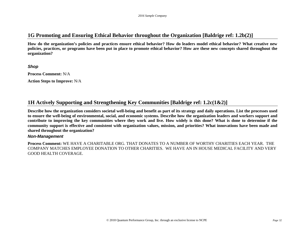### **1G Promoting and Ensuring Ethical Behavior throughout the Organization [Baldrige ref: 1.2b(2)]**

**How do the organization's policies and practices ensure ethical behavior? How do leaders model ethical behavior? What creative new policies, practices, or programs have been put in place to promote ethical behavior? How are these new concepts shared throughout the organization?**

*Shop*

**Process Comment:** N/A

**Action Steps to Improve:** N/A

### **1H Actively Supporting and Strengthening Key Communities [Baldrige ref: 1.2c(1&2)]**

**Describe how the organization considers societal well-being and benefit as part of its strategy and daily operations. List the processes used to ensure the well-being of environmental, social, and economic systems. Describe how the organization leaders and workers support and contribute to improving the key communities where they work and live. How widely is this done? What is done to determine if the community support is effective and consistent with organization values, mission, and priorities? What innovations have been made and shared throughout the organization?**

#### *Non-Management*

**Process Comment:** WE HAVE A CHARITABLE ORG. THAT DONATES TO A NUMBER OF WORTHY CHARITIES EACH YEAR. THE COMPANY MATCHES EMPLOYEE DONATION TO OTHER CHARITIES. WE HAVE AN IN HOUSE MEDICAL FACILITY AND VERY GOOD HEALTH COVERAGE.